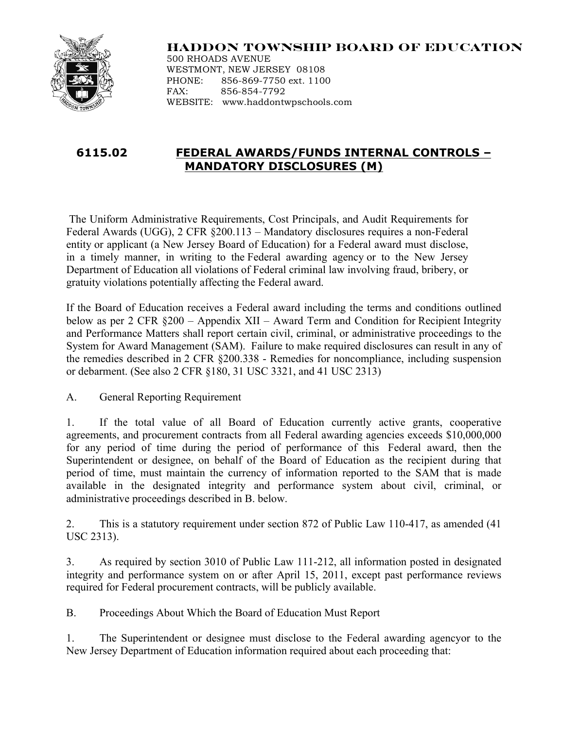

## **HADDON TOWNSHIP BOARD OF EDUCATION**

500 RHOADS AVENUE WESTMONT, NEW JERSEY 08108 PHONE: 856-869-7750 ext. 1100 FAX: 856-854-7792 WEBSITE: www.haddontwpschools.com

## **6115.02 FEDERAL AWARDS/FUNDS INTERNAL CONTROLS – MANDATORY DISCLOSURES (M)**

The Uniform Administrative Requirements, Cost Principals, and Audit Requirements for Federal Awards (UGG), 2 CFR §200.113 – Mandatory disclosures requires a non-Federal entity or applicant (a New Jersey Board of Education) for a Federal award must disclose, in a timely manner, in writing to the Federal awarding agency or to the New Jersey Department of Education all violations of Federal criminal law involving fraud, bribery, or gratuity violations potentially affecting the Federal award.

If the Board of Education receives a Federal award including the terms and conditions outlined below as per 2 CFR §200 – Appendix XII – Award Term and Condition for Recipient Integrity and Performance Matters shall report certain civil, criminal, or administrative proceedings to the System for Award Management (SAM). Failure to make required disclosures can result in any of the remedies described in 2 CFR §200.338 - Remedies for noncompliance, including suspension or debarment. (See also 2 CFR §180, 31 USC 3321, and 41 USC 2313)

A. General Reporting Requirement

1. If the total value of all Board of Education currently active grants, cooperative agreements, and procurement contracts from all Federal awarding agencies exceeds \$10,000,000 for any period of time during the period of performance of this Federal award, then the Superintendent or designee, on behalf of the Board of Education as the recipient during that period of time, must maintain the currency of information reported to the SAM that is made available in the designated integrity and performance system about civil, criminal, or administrative proceedings described in B. below.

2. This is a statutory requirement under section 872 of Public Law 110-417, as amended (41 USC 2313).

3. As required by section 3010 of Public Law 111-212, all information posted in designated integrity and performance system on or after April 15, 2011, except past performance reviews required for Federal procurement contracts, will be publicly available.

B. Proceedings About Which the Board of Education Must Report

1. The Superintendent or designee must disclose to the Federal awarding agencyor to the New Jersey Department of Education information required about each proceeding that: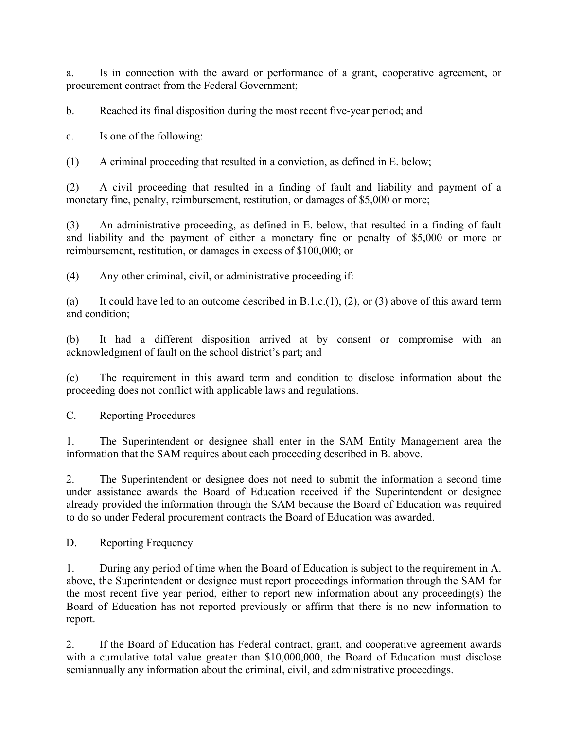a. Is in connection with the award or performance of a grant, cooperative agreement, or procurement contract from the Federal Government;

b. Reached its final disposition during the most recent five-year period; and

c. Is one of the following:

(1) A criminal proceeding that resulted in a conviction, as defined in E. below;

(2) A civil proceeding that resulted in a finding of fault and liability and payment of a monetary fine, penalty, reimbursement, restitution, or damages of \$5,000 or more;

(3) An administrative proceeding, as defined in E. below, that resulted in a finding of fault and liability and the payment of either a monetary fine or penalty of \$5,000 or more or reimbursement, restitution, or damages in excess of \$100,000; or

(4) Any other criminal, civil, or administrative proceeding if:

(a) It could have led to an outcome described in  $B.1.c.(1), (2)$ , or (3) above of this award term and condition;

(b) It had a different disposition arrived at by consent or compromise with an acknowledgment of fault on the school district's part; and

(c) The requirement in this award term and condition to disclose information about the proceeding does not conflict with applicable laws and regulations.

C. Reporting Procedures

1. The Superintendent or designee shall enter in the SAM Entity Management area the information that the SAM requires about each proceeding described in B. above.

2. The Superintendent or designee does not need to submit the information a second time under assistance awards the Board of Education received if the Superintendent or designee already provided the information through the SAM because the Board of Education was required to do so under Federal procurement contracts the Board of Education was awarded.

D. Reporting Frequency

1. During any period of time when the Board of Education is subject to the requirement in A. above, the Superintendent or designee must report proceedings information through the SAM for the most recent five year period, either to report new information about any proceeding(s) the Board of Education has not reported previously or affirm that there is no new information to report.

2. If the Board of Education has Federal contract, grant, and cooperative agreement awards with a cumulative total value greater than \$10,000,000, the Board of Education must disclose semiannually any information about the criminal, civil, and administrative proceedings.